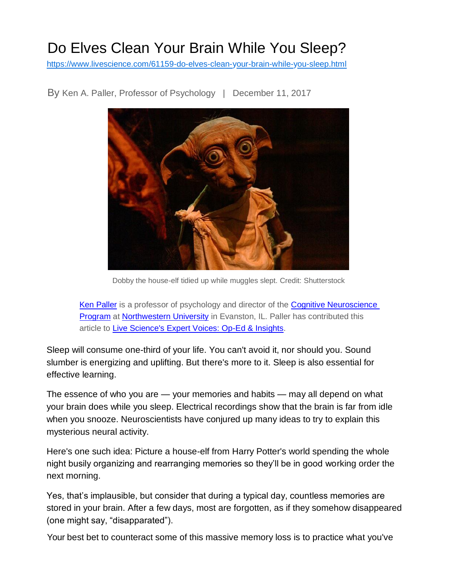## Do Elves Clean Your Brain While You Sleep?

[https://www.livescience.com/61159-do-elves-clean-your-brain-while-you-sleep.html](http://www.livescience.com/61159-do-elves-clean-your-brain-while-you-sleep.html)



By Ken A. Paller, Professor of Psychology | December 11, 2017

Dobby the house-elf tidied up while muggles slept. Credit: Shutterstock

*[Ken Paller](http://faculty.wcas.northwestern.edu/~paller/) is a professor of psychology and director of the [Cognitive Neuroscience](http://cogns.northwestern.edu/)  [Program](http://cogns.northwestern.edu/) at [Northwestern University](http://www.northwestern.edu/) in Evanston, IL. Paller has contributed this article to [Live Science's Expert Voices: Op-Ed & Insights.](https://www.livescience.com/topics/expert-voices-op-ed-and-insights)*

Sleep will consume one-third of your life. You can't avoid it, nor should you. Sound slumber is energizing and uplifting. But there's more to it. Sleep is also essential for effective learning.

The essence of who you are — your memories and habits — may all depend on what your brain does while you sleep. Electrical recordings show that the brain is far from idle when you snooze. Neuroscientists have conjured up many ideas to try to explain this mysterious neural activity.

Here's one such idea: Picture a house-elf from Harry Potter's world spending the whole night busily organizing and rearranging memories so they'll be in good working order the next morning.

Yes, that's implausible, but consider that during a typical day, countless memories are stored in your brain. After a few days, most are forgotten, as if they somehow disappeared (one might say, "disapparated").

Your best bet to counteract some of this massive memory loss is to practice what you've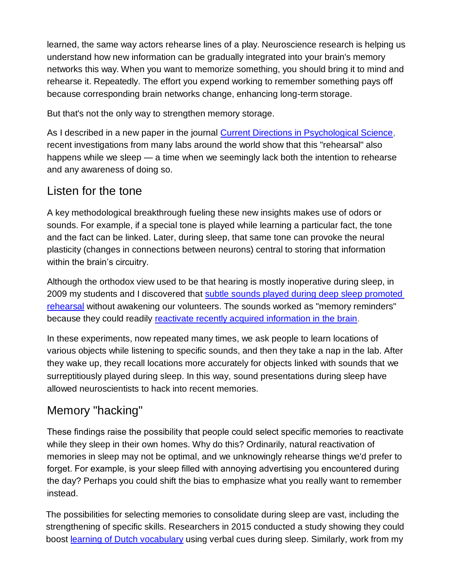learned, the same way actors rehearse lines of a play. Neuroscience research is helping us understand how new information can be gradually integrated into your brain's memory networks this way. When you want to memorize something, you should bring it to mind and rehearse it. Repeatedly. The effort you expend working to remember something pays off because corresponding brain networks change, enhancing long-term storage.

But that's not the only way to strengthen memory storage.

As I described in a new paper in the journal [Current Directions in Psychological Science,](http://journals.sagepub.com/toc/cdpa/26/6) recent investigations from many labs around the world show that this "rehearsal" also happens while we sleep — a time when we seemingly lack both the intention to rehearse and any awareness of doing so.

## Listen for the tone

A key methodological breakthrough fueling these new insights makes use of odors or sounds. For example, if a special tone is played while learning a particular fact, the tone and the fact can be linked. Later, during sleep, that same tone can provoke the neural plasticity (changes in connections between neurons) central to storing that information within the brain's circuitry.

Although the orthodox view used to be that hearing is mostly inoperative during sleep, in 2009 my students and I discovered that [subtle sounds played during deep sleep promoted](http://www.nytimes.com/2009/11/20/science/20sleep.html)  [rehearsal](http://www.nytimes.com/2009/11/20/science/20sleep.html) without awakening our volunteers. The sounds worked as "memory reminders" because they could readily [reactivate recently acquired information in the brain.](https://www.ncbi.nlm.nih.gov/pubmed/23433937)

In these experiments, now repeated many times, we ask people to learn locations of various objects while listening to specific sounds, and then they take a nap in the lab. After they wake up, they recall locations more accurately for objects linked with sounds that we surreptitiously played during sleep. In this way, sound presentations during sleep have allowed neuroscientists to hack into recent memories.

## Memory "hacking"

These findings raise the possibility that people could select specific memories to reactivate while they sleep in their own homes. Why do this? Ordinarily, natural reactivation of memories in sleep may not be optimal, and we unknowingly rehearse things we'd prefer to forget. For example, is your sleep filled with annoying advertising you encountered during the day? Perhaps you could shift the bias to emphasize what you really want to remember instead.

The possibilities for selecting memories to consolidate during sleep are vast, including the strengthening of specific skills. Researchers in 2015 conducted a study showing they could boost **learning of Dutch vocabulary** using verbal cues during sleep. Similarly, work from my